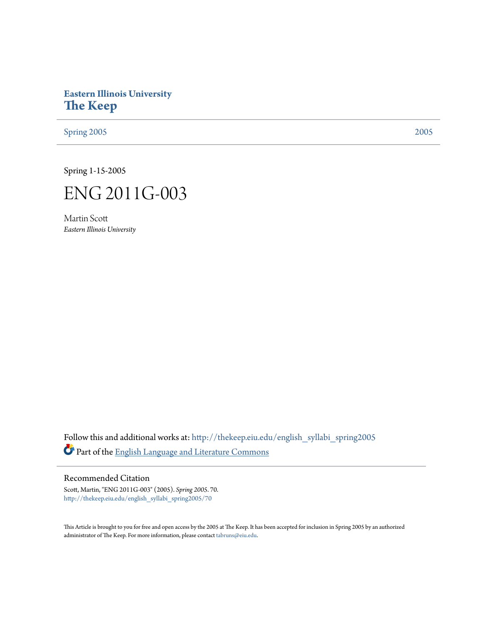## **Eastern Illinois University [The Keep](http://thekeep.eiu.edu?utm_source=thekeep.eiu.edu%2Fenglish_syllabi_spring2005%2F70&utm_medium=PDF&utm_campaign=PDFCoverPages)**

[Spring 2005](http://thekeep.eiu.edu/english_syllabi_spring2005?utm_source=thekeep.eiu.edu%2Fenglish_syllabi_spring2005%2F70&utm_medium=PDF&utm_campaign=PDFCoverPages) [2005](http://thekeep.eiu.edu/english_syllabi2005?utm_source=thekeep.eiu.edu%2Fenglish_syllabi_spring2005%2F70&utm_medium=PDF&utm_campaign=PDFCoverPages)

Spring 1-15-2005



Martin Scott *Eastern Illinois University*

Follow this and additional works at: [http://thekeep.eiu.edu/english\\_syllabi\\_spring2005](http://thekeep.eiu.edu/english_syllabi_spring2005?utm_source=thekeep.eiu.edu%2Fenglish_syllabi_spring2005%2F70&utm_medium=PDF&utm_campaign=PDFCoverPages) Part of the [English Language and Literature Commons](http://network.bepress.com/hgg/discipline/455?utm_source=thekeep.eiu.edu%2Fenglish_syllabi_spring2005%2F70&utm_medium=PDF&utm_campaign=PDFCoverPages)

Recommended Citation

Scott, Martin, "ENG 2011G-003" (2005). *Spring 2005*. 70. [http://thekeep.eiu.edu/english\\_syllabi\\_spring2005/70](http://thekeep.eiu.edu/english_syllabi_spring2005/70?utm_source=thekeep.eiu.edu%2Fenglish_syllabi_spring2005%2F70&utm_medium=PDF&utm_campaign=PDFCoverPages)

This Article is brought to you for free and open access by the 2005 at The Keep. It has been accepted for inclusion in Spring 2005 by an authorized administrator of The Keep. For more information, please contact [tabruns@eiu.edu.](mailto:tabruns@eiu.edu)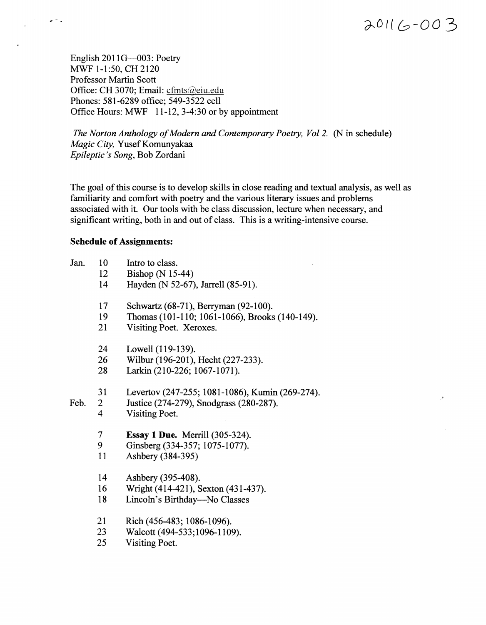# d--0 *I( b-00* 3

English 2011G-003: Poetry MWF 1-1:50, CH 2120 Professor Martin Scott Office: CH 3070; Email: cfmts@eiu.edu Phones: 581-6289 office; 549-3522 cell Office Hours: MWF 11-12, 3-4:30 or by appointment

*The Norton Anthology of Modern and Contemporary Poetry, Vol 2. (N in schedule)* Magic City, Yusef Komunyakaa *Epileptic 's Song,* Bob Zordani

The goal of this course is to develop skills in close reading and textual analysis, as well as familiarity and comfort with poetry and the various literary issues and problems associated with it. Our tools with be class discussion, lecture when necessary, and significant writing, both in and out of class. This is a writing-intensive course.

#### Schedule of Assignments:

 $\sim$   $\sim$ 

 $\overline{1}$ 

| Jan. | 10                       | Intro to class.                                 |
|------|--------------------------|-------------------------------------------------|
|      | 12                       | Bishop (N 15-44)                                |
|      | 14                       | Hayden (N 52-67), Jarrell (85-91).              |
|      | 17                       | Schwartz (68-71), Berryman (92-100).            |
|      | 19                       | Thomas (101-110; 1061-1066), Brooks (140-149).  |
|      | 21                       | Visiting Poet. Xeroxes.                         |
|      | 24                       | Lowell (119-139).                               |
|      | 26                       | Wilbur (196-201), Hecht (227-233).              |
|      | 28                       | Larkin (210-226; 1067-1071).                    |
|      | 31                       | Levertov (247-255; 1081-1086), Kumin (269-274). |
| Feb. | $\overline{2}$           | Justice (274-279), Snodgrass (280-287).         |
|      | $\overline{\mathbf{4}}$  | Visiting Poet.                                  |
|      | $\overline{\mathcal{L}}$ | <b>Essay 1 Due.</b> Merrill (305-324).          |
|      | 9                        | Ginsberg (334-357; 1075-1077).                  |
|      | 11                       | Ashbery (384-395)                               |
|      | 14                       | Ashbery (395-408).                              |
|      | 16                       | Wright (414-421), Sexton (431-437).             |
|      | 18                       | Lincoln's Birthday—No Classes                   |
|      | 21                       | Rich (456-483; 1086-1096).                      |
|      | 23                       | Walcott (494-533;1096-1109).                    |
|      | 25                       | Visiting Poet.                                  |
|      |                          |                                                 |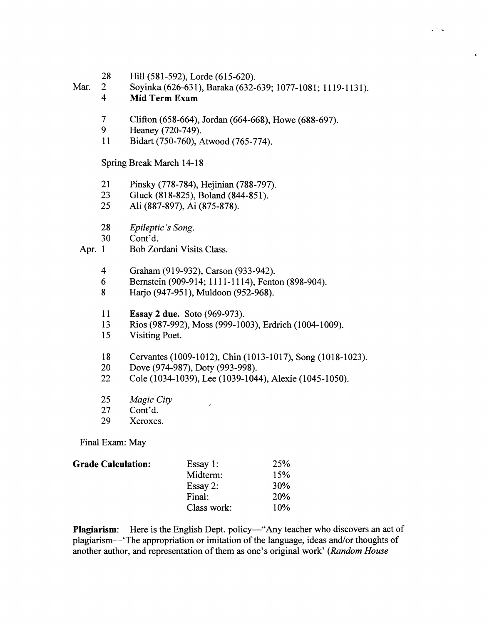Mar. 2 Soyinka (626-631), Baraka (632-639; 1077-1081; 1119-1131).

#### 4 Mid Term Exam

- 7 Clifton (658-664), Jordan (664-668), Howe (688-697).
- 9 Heaney (720-749).
- 11 Bidart (750-760), Atwood (765-774).

### Spring Break March 14-18

- 21 Pinsky (778-784), Hejinian (788-797).
- 23 Gluck (818-825), Boland (844-851).
- 25 Ali (887-897), Ai (875-878).
- 28 *Epileptic 's Song.*
- 30 Cont'd.
- Apr. 1 Bob Zordani Visits Class.
	- 4 Graham (919-932), Carson (933-942).
	- 6 Bernstein (909-914; 1111-1114), Fenton (898-904).
	- 8 Harjo (947-951), Muldoon (952-968).
	- 11 Essay 2 due. Soto (969-973).
	- 13 Rios (987-992), Moss (999-1003), Erdrich (1004-1009).
	- 15 Visiting Poet.
	- 18 Cervantes (1009-1012), Chin (1013-1017), Song (1018-1023).
	- 20 Dove (974-987), Doty (993-998).
	- 22 Cole (1034-1039), Lee (1039-1044), Alexie (1045-1050).
	- 25 *Magic City*
	- 27 Cont'd.
	- 29 Xeroxes.

Final Exam: May

| <b>Grade Calculation:</b> | Essay 1:    | 25%        |
|---------------------------|-------------|------------|
|                           | Midterm:    | 15%        |
|                           | Essay 2:    | <b>30%</b> |
|                           | Final:      | <b>20%</b> |
|                           | Class work: | 10%        |

Plagiarism: Here is the English Dept. policy—"Any teacher who discovers an act of plagiarism-' The appropriation or imitation of the language, ideas and/or thoughts of another author, and representation of them as one's original work' *(Random House*